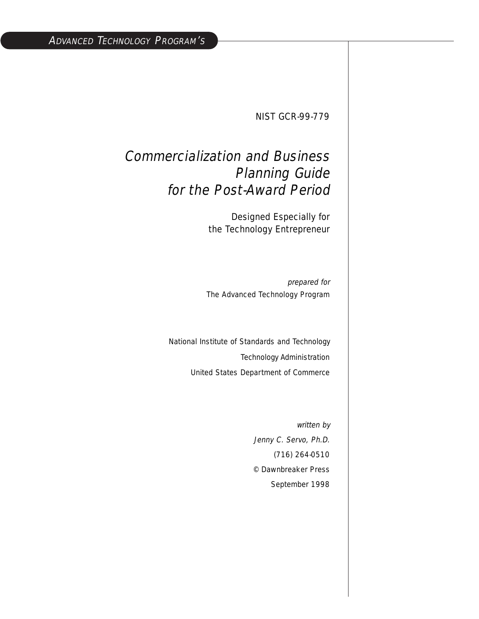NIST GCR-99-779

## Commercialization and Business Planning Guide for the Post-Award Period

Designed Especially for the Technology Entrepreneur

prepared for The Advanced Technology Program

National Institute of Standards and Technology Technology Administration United States Department of Commerce

> written by Jenny C. Servo, Ph.D. (716) 264-0510 © Dawnbreaker Press September 1998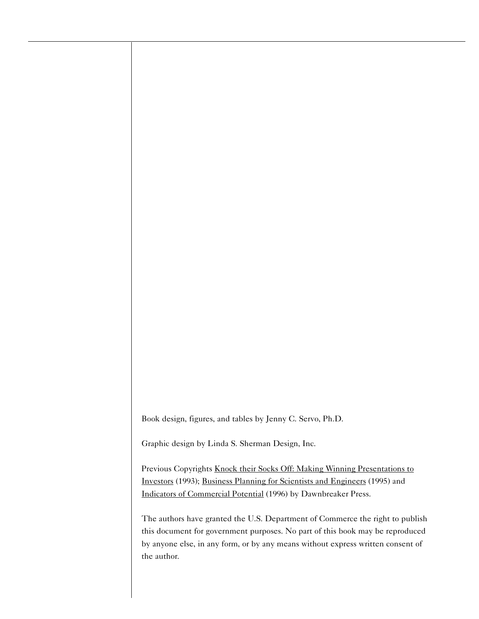Book design, figures, and tables by Jenny C. Servo, Ph.D.

Graphic design by Linda S. Sherman Design, Inc.

Previous Copyrights Knock their Socks Off: Making Winning Presentations to Investors (1993); Business Planning for Scientists and Engineers (1995) and Indicators of Commercial Potential (1996) by Dawnbreaker Press.

The authors have granted the U.S. Department of Commerce the right to publish this document for government purposes. No part of this book may be reproduced by anyone else, in any form, or by any means without express written consent of the author.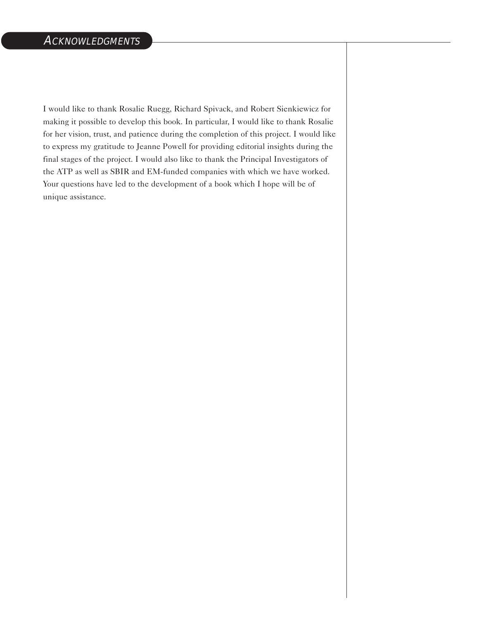I would like to thank Rosalie Ruegg, Richard Spivack, and Robert Sienkiewicz for making it possible to develop this book. In particular, I would like to thank Rosalie for her vision, trust, and patience during the completion of this project. I would like to express my gratitude to Jeanne Powell for providing editorial insights during the final stages of the project. I would also like to thank the Principal Investigators of the ATP as well as SBIR and EM-funded companies with which we have worked. Your questions have led to the development of a book which I hope will be of unique assistance.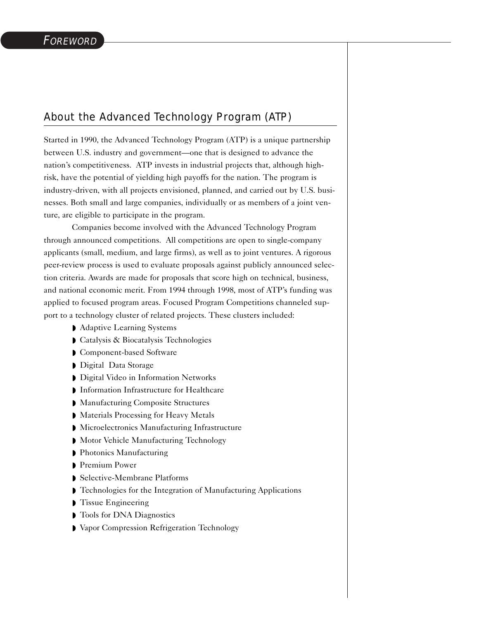## About the Advanced Technology Program (ATP)

Started in 1990, the Advanced Technology Program (ATP) is a unique partnership between U.S. industry and government—one that is designed to advance the nation's competitiveness. ATP invests in industrial projects that, although highrisk, have the potential of yielding high payoffs for the nation. The program is industry-driven, with all projects envisioned, planned, and carried out by U.S. businesses. Both small and large companies, individually or as members of a joint venture, are eligible to participate in the program.

Companies become involved with the Advanced Technology Program through announced competitions. All competitions are open to single-company applicants (small, medium, and large firms), as well as to joint ventures. A rigorous peer-review process is used to evaluate proposals against publicly announced selection criteria. Awards are made for proposals that score high on technical, business, and national economic merit. From 1994 through 1998, most of ATP's funding was applied to focused program areas. Focused Program Competitions channeled support to a technology cluster of related projects. These clusters included:

- ◗ Adaptive Learning Systems
- ◗ Catalysis & Biocatalysis Technologies
- ◗ Component-based Software
- ◗ Digital Data Storage
- ◗ Digital Video in Information Networks
- ◗ Information Infrastructure for Healthcare
- ◗ Manufacturing Composite Structures
- ◗ Materials Processing for Heavy Metals
- ◗ Microelectronics Manufacturing Infrastructure
- Motor Vehicle Manufacturing Technology
- ◗ Photonics Manufacturing
- ◗ Premium Power
- ◗ Selective-Membrane Platforms
- ◗ Technologies for the Integration of Manufacturing Applications
- ◗ Tissue Engineering
- ◗ Tools for DNA Diagnostics
- ◗ Vapor Compression Refrigeration Technology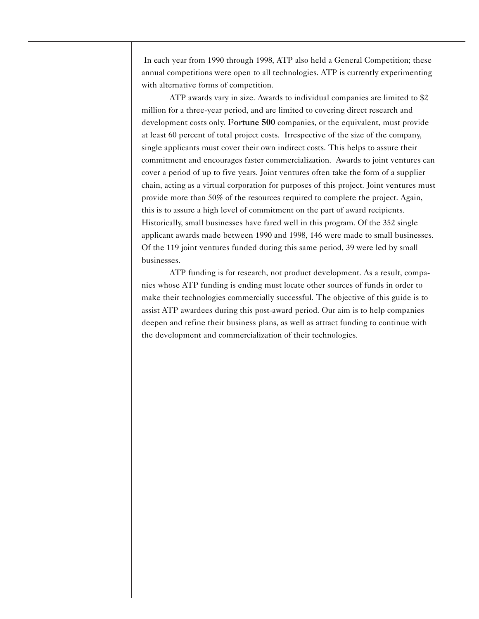In each year from 1990 through 1998, ATP also held a General Competition; these annual competitions were open to all technologies. ATP is currently experimenting with alternative forms of competition.

ATP awards vary in size. Awards to individual companies are limited to \$2 million for a three-year period, and are limited to covering direct research and development costs only. Fortune 500 companies, or the equivalent, must provide at least 60 percent of total project costs. Irrespective of the size of the company, single applicants must cover their own indirect costs. This helps to assure their commitment and encourages faster commercialization. Awards to joint ventures can cover a period of up to five years. Joint ventures often take the form of a supplier chain, acting as a virtual corporation for purposes of this project. Joint ventures must provide more than 50% of the resources required to complete the project. Again, this is to assure a high level of commitment on the part of award recipients. Historically, small businesses have fared well in this program. Of the 352 single applicant awards made between 1990 and 1998, 146 were made to small businesses. Of the 119 joint ventures funded during this same period, 39 were led by small businesses.

ATP funding is for research, not product development. As a result, companies whose ATP funding is ending must locate other sources of funds in order to make their technologies commercially successful. The objective of this guide is to assist ATP awardees during this post-award period. Our aim is to help companies deepen and refine their business plans, as well as attract funding to continue with the development and commercialization of their technologies.